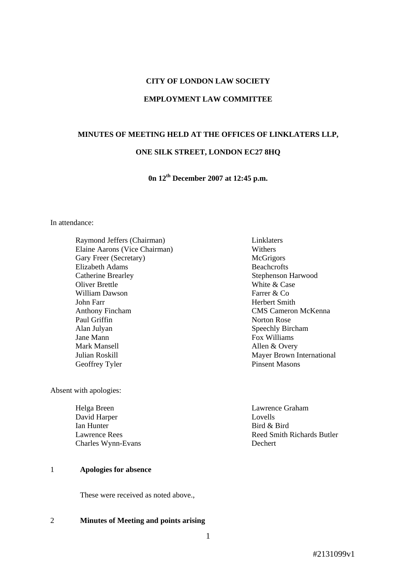## **CITY OF LONDON LAW SOCIETY**

### **EMPLOYMENT LAW COMMITTEE**

# **MINUTES OF MEETING HELD AT THE OFFICES OF LINKLATERS LLP,**

### **ONE SILK STREET, LONDON EC27 8HQ**

**0n 12th December 2007 at 12:45 p.m.**

In attendance:

Raymond Jeffers (Chairman) Linklaters Elaine Aarons (Vice Chairman) Withers Gary Freer (Secretary) McGrigors Elizabeth Adams Beachcrofts Catherine Brearley Stephenson Harwood Oliver Brettle White & Case William Dawson Farrer & Co John Farr **Herbert Smith** Anthony Fincham CMS Cameron McKenna Paul Griffin Norton Rose Alan Julyan Speechly Bircham Jane Mann Fox Williams Mark Mansell **Allen & Overy** Julian Roskill Mayer Brown International<br>
Geoffrey Tyler<br>
Pinsent Masons Geoffrey Tyler

Absent with apologies:

Helga Breen Lawrence Graham<br>David Harper Lovells Lovells David Harper Ian Hunter Bird & Bird Charles Wynn-Evans Dechert

# 1 **Apologies for absence**

These were received as noted above.,

#### 2 **Minutes of Meeting and points arising**

Lawrence Rees Reed Smith Richards Butler